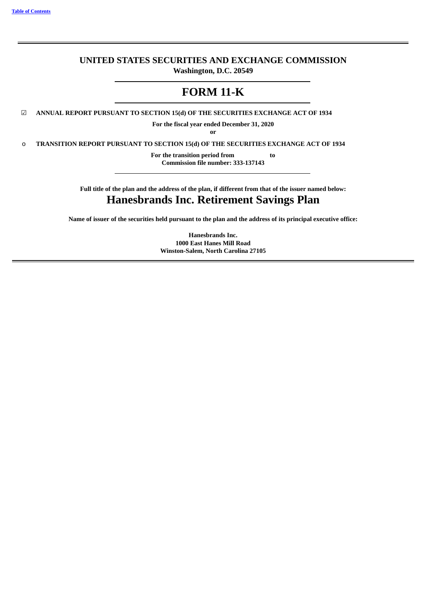# **UNITED STATES SECURITIES AND EXCHANGE COMMISSION Washington, D.C. 20549**

# **FORM 11-K**

☑ **ANNUAL REPORT PURSUANT TO SECTION 15(d) OF THE SECURITIES EXCHANGE ACT OF 1934 For the fiscal year ended December 31, 2020**

**or**

o **TRANSITION REPORT PURSUANT TO SECTION 15(d) OF THE SECURITIES EXCHANGE ACT OF 1934**

**For the transition period from to Commission file number: 333-137143**

Full title of the plan and the address of the plan, if different from that of the issuer named below: **Hanesbrands Inc. Retirement Savings Plan**

<span id="page-0-0"></span>Name of issuer of the securities held pursuant to the plan and the address of its principal executive office:

**Hanesbrands Inc. 1000 East Hanes Mill Road Winston-Salem, North Carolina 27105**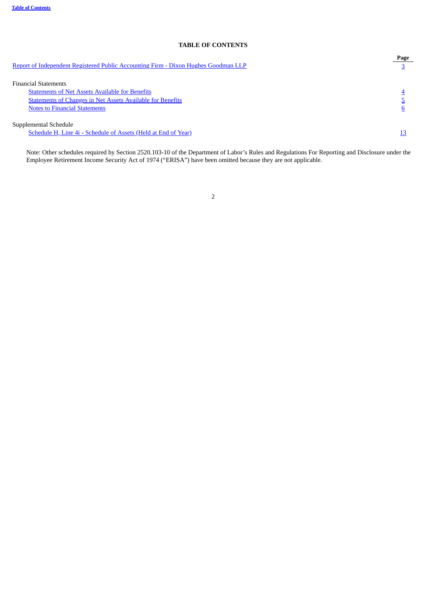# **TABLE OF CONTENTS**

|                                                                                            | Page |
|--------------------------------------------------------------------------------------------|------|
| <u> Report of Independent Registered Public Accounting Firm - Dixon Hughes Goodman LLP</u> |      |
| <b>Financial Statements</b>                                                                |      |
| <b>Statements of Net Assets Available for Benefits</b>                                     |      |
| <b>Statements of Changes in Net Assets Available for Benefits</b>                          |      |
| <b>Notes to Financial Statements</b>                                                       |      |
| Supplemental Schedule                                                                      |      |
| Schedule H, Line 4i - Schedule of Assets (Held at End of Year)                             |      |
|                                                                                            |      |

<span id="page-1-0"></span>Note: Other schedules required by Section 2520.103-10 of the Department of Labor's Rules and Regulations For Reporting and Disclosure under the Employee Retirement Income Security Act of 1974 ("ERISA") have been omitted because they are not applicable.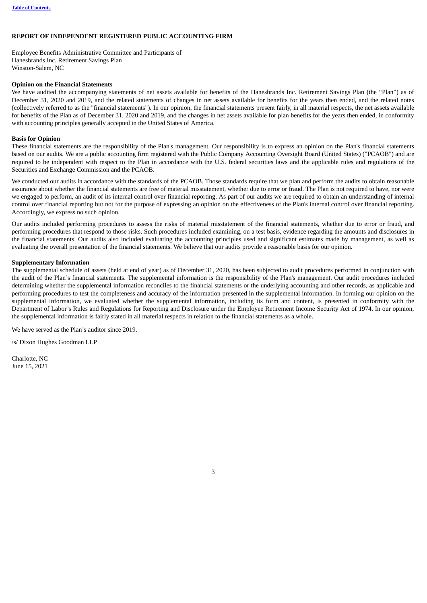# **REPORT OF INDEPENDENT REGISTERED PUBLIC ACCOUNTING FIRM**

Employee Benefits Administrative Committee and Participants of Hanesbrands Inc. Retirement Savings Plan Winston-Salem, NC

### **Opinion on the Financial Statements**

We have audited the accompanying statements of net assets available for benefits of the Hanesbrands Inc. Retirement Savings Plan (the "Plan") as of December 31, 2020 and 2019, and the related statements of changes in net assets available for benefits for the years then ended, and the related notes (collectively referred to as the "financial statements"). In our opinion, the financial statements present fairly, in all material respects, the net assets available for benefits of the Plan as of December 31, 2020 and 2019, and the changes in net assets available for plan benefits for the years then ended, in conformity with accounting principles generally accepted in the United States of America.

### **Basis for Opinion**

These financial statements are the responsibility of the Plan's management. Our responsibility is to express an opinion on the Plan's financial statements based on our audits. We are a public accounting firm registered with the Public Company Accounting Oversight Board (United States) ("PCAOB") and are required to be independent with respect to the Plan in accordance with the U.S. federal securities laws and the applicable rules and regulations of the Securities and Exchange Commission and the PCAOB.

We conducted our audits in accordance with the standards of the PCAOB. Those standards require that we plan and perform the audits to obtain reasonable assurance about whether the financial statements are free of material misstatement, whether due to error or fraud. The Plan is not required to have, nor were we engaged to perform, an audit of its internal control over financial reporting. As part of our audits we are required to obtain an understanding of internal control over financial reporting but not for the purpose of expressing an opinion on the effectiveness of the Plan's internal control over financial reporting. Accordingly, we express no such opinion.

Our audits included performing procedures to assess the risks of material misstatement of the financial statements, whether due to error or fraud, and performing procedures that respond to those risks. Such procedures included examining, on a test basis, evidence regarding the amounts and disclosures in the financial statements. Our audits also included evaluating the accounting principles used and significant estimates made by management, as well as evaluating the overall presentation of the financial statements. We believe that our audits provide a reasonable basis for our opinion.

### **Supplementary Information**

The supplemental schedule of assets (held at end of year) as of December 31, 2020, has been subjected to audit procedures performed in conjunction with the audit of the Plan's financial statements. The supplemental information is the responsibility of the Plan's management. Our audit procedures included determining whether the supplemental information reconciles to the financial statements or the underlying accounting and other records, as applicable and performing procedures to test the completeness and accuracy of the information presented in the supplemental information. In forming our opinion on the supplemental information, we evaluated whether the supplemental information, including its form and content, is presented in conformity with the Department of Labor's Rules and Regulations for Reporting and Disclosure under the Employee Retirement Income Security Act of 1974. In our opinion, the supplemental information is fairly stated in all material respects in relation to the financial statements as a whole.

We have served as the Plan's auditor since 2019.

/s/ Dixon Hughes Goodman LLP

Charlotte, NC June 15, 2021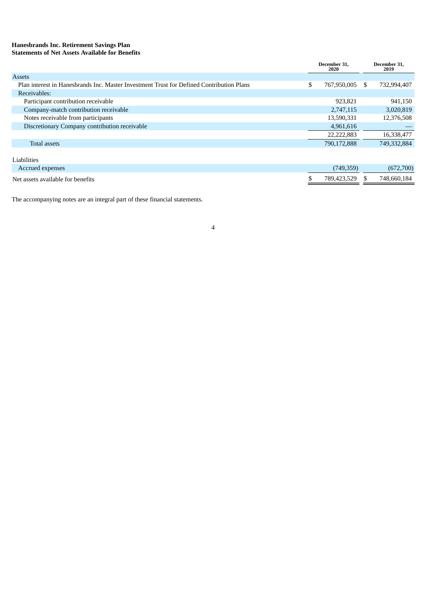# <span id="page-3-0"></span>**Hanesbrands Inc. Retirement Savings Plan Statements of Net Assets Available for Benefits**

|                                                                                          |    | December 31.<br>2020 |     |             |  |  |  |  |  | December 31,<br>2019 |
|------------------------------------------------------------------------------------------|----|----------------------|-----|-------------|--|--|--|--|--|----------------------|
| <b>Assets</b>                                                                            |    |                      |     |             |  |  |  |  |  |                      |
| Plan interest in Hanesbrands Inc. Master Investment Trust for Defined Contribution Plans | \$ | 767,950,005          | \$. | 732,994,407 |  |  |  |  |  |                      |
| Receivables:                                                                             |    |                      |     |             |  |  |  |  |  |                      |
| Participant contribution receivable                                                      |    | 923,821              |     | 941,150     |  |  |  |  |  |                      |
| Company-match contribution receivable                                                    |    | 2,747,115            |     | 3,020,819   |  |  |  |  |  |                      |
| Notes receivable from participants                                                       |    | 13,590,331           |     | 12,376,508  |  |  |  |  |  |                      |
| Discretionary Company contribution receivable                                            |    | 4,961,616            |     |             |  |  |  |  |  |                      |
|                                                                                          |    | 22,222,883           |     | 16,338,477  |  |  |  |  |  |                      |
| <b>Total assets</b>                                                                      |    | 790,172,888          |     | 749,332,884 |  |  |  |  |  |                      |
|                                                                                          |    |                      |     |             |  |  |  |  |  |                      |
| Liabilities                                                                              |    |                      |     |             |  |  |  |  |  |                      |
| Accrued expenses                                                                         |    | (749.359)            |     | (672,700)   |  |  |  |  |  |                      |

Net assets available for benefits **1989 1989 8 789,423,529 \$** 748,660,184

<span id="page-3-1"></span>The accompanying notes are an integral part of these financial statements.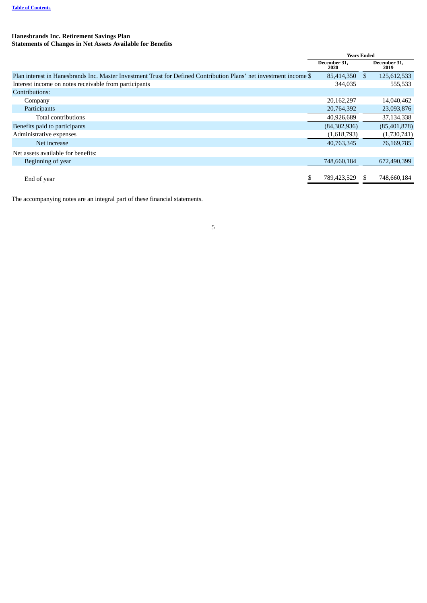# **Hanesbrands Inc. Retirement Savings Plan Statements of Changes in Net Assets Available for Benefits**

|                                                                                                                    | <b>Years Ended</b>   |    |                      |
|--------------------------------------------------------------------------------------------------------------------|----------------------|----|----------------------|
|                                                                                                                    | December 31,<br>2020 |    | December 31,<br>2019 |
| Plan interest in Hanesbrands Inc. Master Investment Trust for Defined Contribution Plans' net investment income \$ | 85,414,350           | -S | 125,612,533          |
| Interest income on notes receivable from participants                                                              | 344,035              |    | 555,533              |
| Contributions:                                                                                                     |                      |    |                      |
| Company                                                                                                            | 20, 162, 297         |    | 14,040,462           |
| Participants                                                                                                       | 20,764,392           |    | 23,093,876           |
| Total contributions                                                                                                | 40,926,689           |    | 37,134,338           |
| Benefits paid to participants                                                                                      | (84, 302, 936)       |    | (85, 401, 878)       |
| Administrative expenses                                                                                            | (1,618,793)          |    | (1,730,741)          |
| Net increase                                                                                                       | 40,763,345           |    | 76,169,785           |
| Net assets available for benefits:                                                                                 |                      |    |                      |
| Beginning of year                                                                                                  | 748,660,184          |    | 672,490,399          |
| End of year                                                                                                        | 789,423,529<br>Œ     |    | 748,660,184          |

<span id="page-4-0"></span>The accompanying notes are an integral part of these financial statements.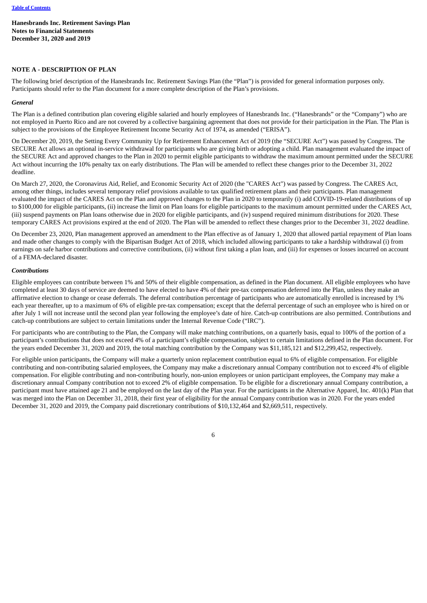### **NOTE A - DESCRIPTION OF PLAN**

The following brief description of the Hanesbrands Inc. Retirement Savings Plan (the "Plan") is provided for general information purposes only. Participants should refer to the Plan document for a more complete description of the Plan's provisions.

#### *General*

The Plan is a defined contribution plan covering eligible salaried and hourly employees of Hanesbrands Inc. ("Hanesbrands" or the "Company") who are not employed in Puerto Rico and are not covered by a collective bargaining agreement that does not provide for their participation in the Plan. The Plan is subject to the provisions of the Employee Retirement Income Security Act of 1974, as amended ("ERISA").

On December 20, 2019, the Setting Every Community Up for Retirement Enhancement Act of 2019 (the "SECURE Act") was passed by Congress. The SECURE Act allows an optional in-service withdrawal for participants who are giving birth or adopting a child. Plan management evaluated the impact of the SECURE Act and approved changes to the Plan in 2020 to permit eligible participants to withdraw the maximum amount permitted under the SECURE Act without incurring the 10% penalty tax on early distributions. The Plan will be amended to reflect these changes prior to the December 31, 2022 deadline.

On March 27, 2020, the Coronavirus Aid, Relief, and Economic Security Act of 2020 (the "CARES Act") was passed by Congress. The CARES Act, among other things, includes several temporary relief provisions available to tax qualified retirement plans and their participants. Plan management evaluated the impact of the CARES Act on the Plan and approved changes to the Plan in 2020 to temporarily (i) add COVID-19-related distributions of up to \$100,000 for eligible participants, (ii) increase the limit on Plan loans for eligible participants to the maximum amount permitted under the CARES Act, (iii) suspend payments on Plan loans otherwise due in 2020 for eligible participants, and (iv) suspend required minimum distributions for 2020. These temporary CARES Act provisions expired at the end of 2020. The Plan will be amended to reflect these changes prior to the December 31, 2022 deadline.

On December 23, 2020, Plan management approved an amendment to the Plan effective as of January 1, 2020 that allowed partial repayment of Plan loans and made other changes to comply with the Bipartisan Budget Act of 2018, which included allowing participants to take a hardship withdrawal (i) from earnings on safe harbor contributions and corrective contributions, (ii) without first taking a plan loan, and (iii) for expenses or losses incurred on account of a FEMA-declared disaster.

#### *Contributions*

Eligible employees can contribute between 1% and 50% of their eligible compensation, as defined in the Plan document. All eligible employees who have completed at least 30 days of service are deemed to have elected to have 4% of their pre-tax compensation deferred into the Plan, unless they make an affirmative election to change or cease deferrals. The deferral contribution percentage of participants who are automatically enrolled is increased by 1% each year thereafter, up to a maximum of 6% of eligible pre-tax compensation; except that the deferral percentage of such an employee who is hired on or after July 1 will not increase until the second plan year following the employee's date of hire. Catch-up contributions are also permitted. Contributions and catch-up contributions are subject to certain limitations under the Internal Revenue Code ("IRC").

For participants who are contributing to the Plan, the Company will make matching contributions, on a quarterly basis, equal to 100% of the portion of a participant's contributions that does not exceed 4% of a participant's eligible compensation, subject to certain limitations defined in the Plan document. For the years ended December 31, 2020 and 2019, the total matching contribution by the Company was \$11,185,121 and \$12,299,452, respectively.

For eligible union participants, the Company will make a quarterly union replacement contribution equal to 6% of eligible compensation. For eligible contributing and non-contributing salaried employees, the Company may make a discretionary annual Company contribution not to exceed 4% of eligible compensation. For eligible contributing and non-contributing hourly, non-union employees or union participant employees, the Company may make a discretionary annual Company contribution not to exceed 2% of eligible compensation. To be eligible for a discretionary annual Company contribution, a participant must have attained age 21 and be employed on the last day of the Plan year. For the participants in the Alternative Apparel, Inc. 401(k) Plan that was merged into the Plan on December 31, 2018, their first year of eligibility for the annual Company contribution was in 2020. For the years ended December 31, 2020 and 2019, the Company paid discretionary contributions of \$10,132,464 and \$2,669,511, respectively.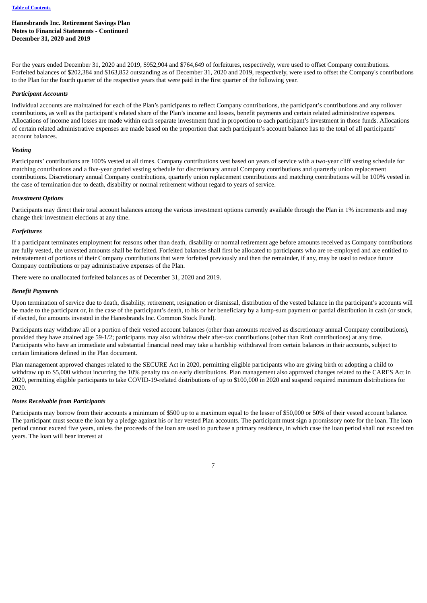For the years ended December 31, 2020 and 2019, \$952,904 and \$764,649 of forfeitures, respectively, were used to offset Company contributions. Forfeited balances of \$202,384 and \$163,852 outstanding as of December 31, 2020 and 2019, respectively, were used to offset the Company's contributions to the Plan for the fourth quarter of the respective years that were paid in the first quarter of the following year.

#### *Participant Accounts*

Individual accounts are maintained for each of the Plan's participants to reflect Company contributions, the participant's contributions and any rollover contributions, as well as the participant's related share of the Plan's income and losses, benefit payments and certain related administrative expenses. Allocations of income and losses are made within each separate investment fund in proportion to each participant's investment in those funds. Allocations of certain related administrative expenses are made based on the proportion that each participant's account balance has to the total of all participants' account balances.

#### *Vesting*

Participants' contributions are 100% vested at all times. Company contributions vest based on years of service with a two-year cliff vesting schedule for matching contributions and a five-year graded vesting schedule for discretionary annual Company contributions and quarterly union replacement contributions. Discretionary annual Company contributions, quarterly union replacement contributions and matching contributions will be 100% vested in the case of termination due to death, disability or normal retirement without regard to years of service.

#### *Investment Options*

Participants may direct their total account balances among the various investment options currently available through the Plan in 1% increments and may change their investment elections at any time.

### *Forfeitures*

If a participant terminates employment for reasons other than death, disability or normal retirement age before amounts received as Company contributions are fully vested, the unvested amounts shall be forfeited. Forfeited balances shall first be allocated to participants who are re-employed and are entitled to reinstatement of portions of their Company contributions that were forfeited previously and then the remainder, if any, may be used to reduce future Company contributions or pay administrative expenses of the Plan.

There were no unallocated forfeited balances as of December 31, 2020 and 2019.

#### *Benefit Payments*

Upon termination of service due to death, disability, retirement, resignation or dismissal, distribution of the vested balance in the participant's accounts will **be made to the participant or, in the case of the participant's death, to his or her beneficiary by a lump-sum payment or partial distribution in cash (or stock,** if elected, for amounts invested in the Hanesbrands Inc. Common Stock Fund).

Participants may withdraw all or a portion of their vested account balances (other than amounts received as discretionary annual Company contributions), provided they have attained age 59-1/2; participants may also withdraw their after-tax contributions (other than Roth contributions) at any time. Participants who have an immediate and substantial financial need may take a hardship withdrawal from certain balances in their accounts, subject to certain limitations defined in the Plan document.

Plan management approved changes related to the SECURE Act in 2020, permitting eligible participants who are giving birth or adopting a child to withdraw up to \$5,000 without incurring the 10% penalty tax on early distributions. Plan management also approved changes related to the CARES Act in 2020, permitting eligible participants to take COVID-19-related distributions of up to \$100,000 in 2020 and suspend required minimum distributions for 2020.

### *Notes Receivable from Participants*

Participants may borrow from their accounts a minimum of \$500 up to a maximum equal to the lesser of \$50,000 or 50% of their vested account balance. The participant must secure the loan by a pledge against his or her vested Plan accounts. The participant must sign a promissory note for the loan. The loan period cannot exceed five years, unless the proceeds of the loan are used to purchase a primary residence, in which case the loan period shall not exceed ten years. The loan will bear interest at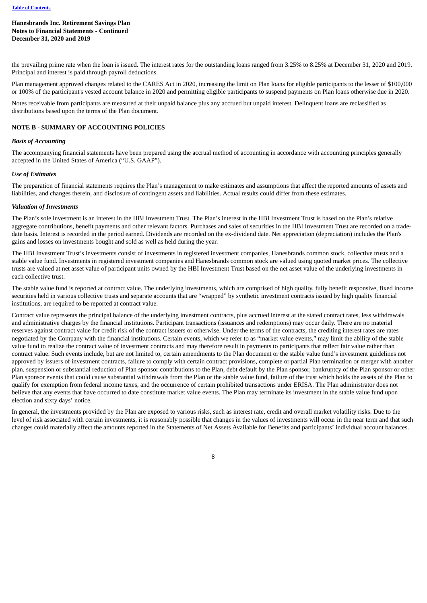the prevailing prime rate when the loan is issued. The interest rates for the outstanding loans ranged from 3.25% to 8.25% at December 31, 2020 and 2019. Principal and interest is paid through payroll deductions.

Plan management approved changes related to the CARES Act in 2020, increasing the limit on Plan loans for eligible participants to the lesser of \$100,000 or 100% of the participant's vested account balance in 2020 and permitting eligible participants to suspend payments on Plan loans otherwise due in 2020.

Notes receivable from participants are measured at their unpaid balance plus any accrued but unpaid interest. Delinquent loans are reclassified as distributions based upon the terms of the Plan document.

# **NOTE B - SUMMARY OF ACCOUNTING POLICIES**

#### *Basis of Accounting*

The accompanying financial statements have been prepared using the accrual method of accounting in accordance with accounting principles generally accepted in the United States of America ("U.S. GAAP").

#### *Use of Estimates*

The preparation of financial statements requires the Plan's management to make estimates and assumptions that affect the reported amounts of assets and liabilities, and changes therein, and disclosure of contingent assets and liabilities. Actual results could differ from these estimates.

### *Valuation of Investments*

The Plan's sole investment is an interest in the HBI Investment Trust. The Plan's interest in the HBI Investment Trust is based on the Plan's relative aggregate contributions, benefit payments and other relevant factors. Purchases and sales of securities in the HBI Investment Trust are recorded on a tradedate basis. Interest is recorded in the period earned. Dividends are recorded on the ex-dividend date. Net appreciation (depreciation) includes the Plan's gains and losses on investments bought and sold as well as held during the year.

The HBI Investment Trust's investments consist of investments in registered investment companies, Hanesbrands common stock, collective trusts and a stable value fund. Investments in registered investment companies and Hanesbrands common stock are valued using quoted market prices. The collective trusts are valued at net asset value of participant units owned by the HBI Investment Trust based on the net asset value of the underlying investments in each collective trust.

The stable value fund is reported at contract value. The underlying investments, which are comprised of high quality, fully benefit responsive, fixed income securities held in various collective trusts and separate accounts that are "wrapped" by synthetic investment contracts issued by high quality financial institutions, are required to be reported at contract value.

Contract value represents the principal balance of the underlying investment contracts, plus accrued interest at the stated contract rates, less withdrawals and administrative charges by the financial institutions. Participant transactions (issuances and redemptions) may occur daily. There are no material reserves against contract value for credit risk of the contract issuers or otherwise. Under the terms of the contracts, the crediting interest rates are rates negotiated by the Company with the financial institutions. Certain events, which we refer to as "market value events," may limit the ability of the stable value fund to realize the contract value of investment contracts and may therefore result in payments to participants that reflect fair value rather than contract value. Such events include, but are not limited to, certain amendments to the Plan document or the stable value fund's investment guidelines not approved by issuers of investment contracts, failure to comply with certain contract provisions, complete or partial Plan termination or merger with another plan, suspension or substantial reduction of Plan sponsor contributions to the Plan, debt default by the Plan sponsor, bankruptcy of the Plan sponsor or other Plan sponsor events that could cause substantial withdrawals from the Plan or the stable value fund, failure of the trust which holds the assets of the Plan to qualify for exemption from federal income taxes, and the occurrence of certain prohibited transactions under ERISA. The Plan administrator does not believe that any events that have occurred to date constitute market value events. The Plan may terminate its investment in the stable value fund upon election and sixty days' notice.

In general, the investments provided by the Plan are exposed to various risks, such as interest rate, credit and overall market volatility risks. Due to the level of risk associated with certain investments, it is reasonably possible that changes in the values of investments will occur in the near term and that such changes could materially affect the amounts reported in the Statements of Net Assets Available for Benefits and participants' individual account balances.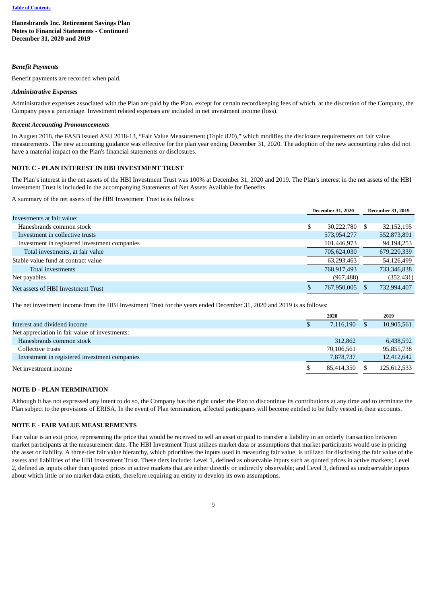### *Benefit Payments*

Benefit payments are recorded when paid.

### *Administrative Expenses*

Administrative expenses associated with the Plan are paid by the Plan, except for certain recordkeeping fees of which, at the discretion of the Company, the Company pays a percentage. Investment related expenses are included in net investment income (loss).

# *Recent Accounting Pronouncements*

In August 2018, the FASB issued ASU 2018-13, "Fair Value Measurement (Topic 820)," which modifies the disclosure requirements on fair value measurements. The new accounting guidance was effective for the plan year ending December 31, 2020. The adoption of the new accounting rules did not have a material impact on the Plan's financial statements or disclosures.

# **NOTE C - PLAN INTEREST IN HBI INVESTMENT TRUST**

The Plan's interest in the net assets of the HBI Investment Trust was 100% at December 31, 2020 and 2019. The Plan's interest in the net assets of the HBI Investment Trust is included in the accompanying Statements of Net Assets Available for Benefits.

A summary of the net assets of the HBI Investment Trust is as follows:

| <b>December 31, 2020</b> |             | <b>December 31, 2019</b> |
|--------------------------|-------------|--------------------------|
|                          |             |                          |
|                          |             | 32,152,195               |
|                          | 573,954,277 | 552,873,891              |
|                          | 101,446,973 | 94,194,253               |
|                          | 705,624,030 | 679,220,339              |
|                          | 63,293,463  | 54,126,499               |
|                          | 768,917,493 | 733,346,838              |
|                          | (967, 488)  | (352, 431)               |
|                          | 767,950,005 | 732,994,407              |
|                          |             | 30,222,780 \$            |

The net investment income from the HBI Investment Trust for the years ended December 31, 2020 and 2019 is as follows:

|                                                | 2020       | 2019        |
|------------------------------------------------|------------|-------------|
| Interest and dividend income                   | 7,116,190  | 10,905,561  |
| Net appreciation in fair value of investments: |            |             |
| Hanesbrands common stock                       | 312.862    | 6,438,592   |
| Collective trusts                              | 70,106,561 | 95,855,738  |
| Investment in registered investment companies  | 7,878,737  | 12,412,642  |
| Net investment income                          | 85,414,350 | 125,612,533 |

# **NOTE D - PLAN TERMINATION**

Although it has not expressed any intent to do so, the Company has the right under the Plan to discontinue its contributions at any time and to terminate the Plan subject to the provisions of ERISA. In the event of Plan termination, affected participants will become entitled to be fully vested in their accounts.

# **NOTE E - FAIR VALUE MEASUREMENTS**

Fair value is an exit price, representing the price that would be received to sell an asset or paid to transfer a liability in an orderly transaction between market participants at the measurement date. The HBI Investment Trust utilizes market data or assumptions that market participants would use in pricing the asset or liability. A three-tier fair value hierarchy, which prioritizes the inputs used in measuring fair value, is utilized for disclosing the fair value of the assets and liabilities of the HBI Investment Trust. These tiers include: Level 1, defined as observable inputs such as quoted prices in active markets; Level 2, defined as inputs other than quoted prices in active markets that are either directly or indirectly observable; and Level 3, defined as unobservable inputs about which little or no market data exists, therefore requiring an entity to develop its own assumptions.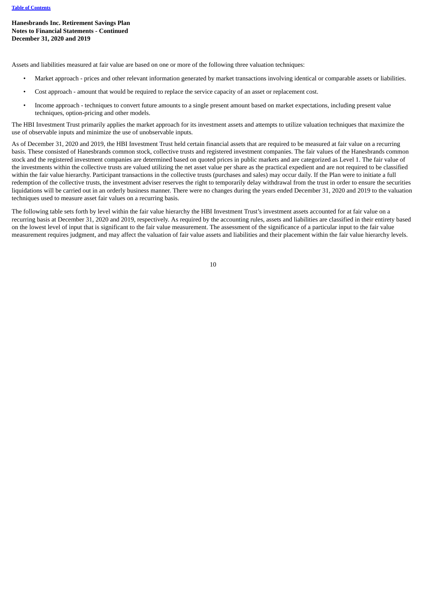Assets and liabilities measured at fair value are based on one or more of the following three valuation techniques:

- Market approach prices and other relevant information generated by market transactions involving identical or comparable assets or liabilities.
- Cost approach amount that would be required to replace the service capacity of an asset or replacement cost.
- Income approach techniques to convert future amounts to a single present amount based on market expectations, including present value techniques, option-pricing and other models.

The HBI Investment Trust primarily applies the market approach for its investment assets and attempts to utilize valuation techniques that maximize the use of observable inputs and minimize the use of unobservable inputs.

As of December 31, 2020 and 2019, the HBI Investment Trust held certain financial assets that are required to be measured at fair value on a recurring basis. These consisted of Hanesbrands common stock, collective trusts and registered investment companies. The fair values of the Hanesbrands common stock and the registered investment companies are determined based on quoted prices in public markets and are categorized as Level 1. The fair value of the investments within the collective trusts are valued utilizing the net asset value per share as the practical expedient and are not required to be classified within the fair value hierarchy. Participant transactions in the collective trusts (purchases and sales) may occur daily. If the Plan were to initiate a full redemption of the collective trusts, the investment adviser reserves the right to temporarily delay withdrawal from the trust in order to ensure the securities liquidations will be carried out in an orderly business manner. There were no changes during the years ended December 31, 2020 and 2019 to the valuation techniques used to measure asset fair values on a recurring basis.

The following table sets forth by level within the fair value hierarchy the HBI Investment Trust's investment assets accounted for at fair value on a recurring basis at December 31, 2020 and 2019, respectively. As required by the accounting rules, assets and liabilities are classified in their entirety based on the lowest level of input that is significant to the fair value measurement. The assessment of the significance of a particular input to the fair value measurement requires judgment, and may affect the valuation of fair value assets and liabilities and their placement within the fair value hierarchy levels.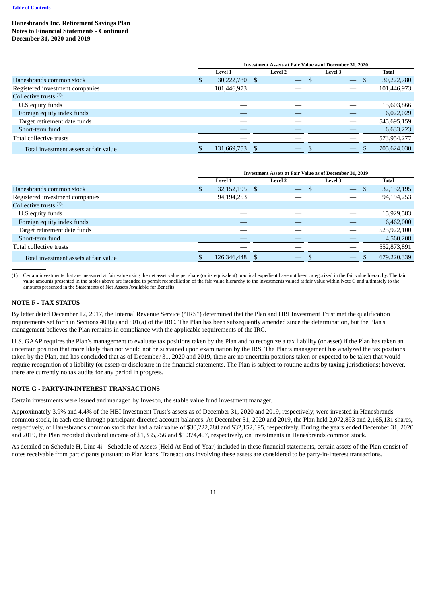|                                       | <b>Investment Assets at Fair Value as of December 31, 2020</b> |                |               |                          |                |      |             |
|---------------------------------------|----------------------------------------------------------------|----------------|---------------|--------------------------|----------------|------|-------------|
|                                       |                                                                | <b>Level 1</b> |               | Level 2                  | <b>Level 3</b> |      | Total       |
| Hanesbrands common stock              |                                                                | 30,222,780     | <sup>\$</sup> | $\overline{\phantom{m}}$ |                | - \$ | 30,222,780  |
| Registered investment companies       |                                                                | 101,446,973    |               |                          |                |      | 101,446,973 |
| Collective trusts <sup>(1)</sup> :    |                                                                |                |               |                          |                |      |             |
| U.S equity funds                      |                                                                |                |               |                          |                |      | 15,603,866  |
| Foreign equity index funds            |                                                                |                |               |                          |                |      | 6,022,029   |
| Target retirement date funds          |                                                                |                |               |                          |                |      | 545,695,159 |
| Short-term fund                       |                                                                |                |               |                          |                |      | 6,633,223   |
| Total collective trusts               |                                                                |                |               |                          |                |      | 573,954,277 |
| Total investment assets at fair value |                                                                | 131,669,753    |               |                          |                |      | 705,624,030 |

|                                       | <b>Investment Assets at Fair Value as of December 31, 2019</b> |              |    |                                |                   |   |              |
|---------------------------------------|----------------------------------------------------------------|--------------|----|--------------------------------|-------------------|---|--------------|
|                                       |                                                                | Level 1      |    | <b>Level 2</b>                 | <b>Level 3</b>    |   | Total        |
| Hanesbrands common stock              |                                                                | 32, 152, 195 | -S |                                |                   | ා | 32, 152, 195 |
| Registered investment companies       |                                                                | 94,194,253   |    |                                |                   |   | 94,194,253   |
| Collective trusts $(1)$ :             |                                                                |              |    |                                |                   |   |              |
| U.S equity funds                      |                                                                |              |    |                                |                   |   | 15,929,583   |
| Foreign equity index funds            |                                                                |              |    |                                |                   |   | 6,462,000    |
| Target retirement date funds          |                                                                |              |    |                                |                   |   | 525,922,100  |
| Short-term fund                       |                                                                |              |    |                                |                   |   | 4,560,208    |
| Total collective trusts               |                                                                |              |    |                                |                   |   | 552,873,891  |
| Total investment assets at fair value |                                                                | 126,346,448  |    | $\overbrace{\hspace{25mm}}^{}$ | $\qquad \qquad -$ |   | 679,220,339  |

(1) Certain investments that are measured at fair value using the net asset value per share (or its equivalent) practical expedient have not been categorized in the fair value hierarchy. The fair value amounts presented in the tables above are intended to permit reconciliation of the fair value hierarchy to the investments valued at fair value within Note C and ultimately to the amounts presented in the Statements of Net Assets Available for Benefits.

# **NOTE F - TAX STATUS**

By letter dated December 12, 2017, the Internal Revenue Service ("IRS") determined that the Plan and HBI Investment Trust met the qualification requirements set forth in Sections 401(a) and 501(a) of the IRC. The Plan has been subsequently amended since the determination, but the Plan's management believes the Plan remains in compliance with the applicable requirements of the IRC.

U.S. GAAP requires the Plan's management to evaluate tax positions taken by the Plan and to recognize a tax liability (or asset) if the Plan has taken an uncertain position that more likely than not would not be sustained upon examination by the IRS. The Plan's management has analyzed the tax positions taken by the Plan, and has concluded that as of December 31, 2020 and 2019, there are no uncertain positions taken or expected to be taken that would require recognition of a liability (or asset) or disclosure in the financial statements. The Plan is subject to routine audits by taxing jurisdictions; however, there are currently no tax audits for any period in progress.

# **NOTE G - PARTY-IN-INTEREST TRANSACTIONS**

Certain investments were issued and managed by Invesco, the stable value fund investment manager.

Approximately 3.9% and 4.4% of the HBI Investment Trust's assets as of December 31, 2020 and 2019, respectively, were invested in Hanesbrands common stock, in each case through participant-directed account balances. At December 31, 2020 and 2019, the Plan held 2,072,893 and 2,165,131 shares, respectively, of Hanesbrands common stock that had a fair value of \$30,222,780 and \$32,152,195, respectively. During the years ended December 31, 2020 and 2019, the Plan recorded dividend income of \$1,335,756 and \$1,374,407, respectively, on investments in Hanesbrands common stock.

As detailed on Schedule H, Line 4i - Schedule of Assets (Held At End of Year) included in these financial statements, certain assets of the Plan consist of notes receivable from participants pursuant to Plan loans. Transactions involving these assets are considered to be party-in-interest transactions.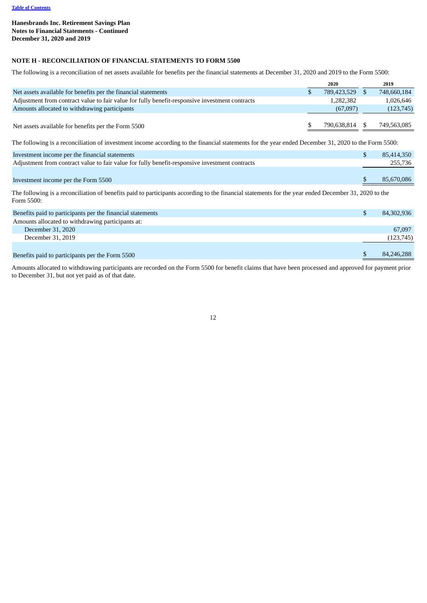# **NOTE H - RECONCILIATION OF FINANCIAL STATEMENTS TO FORM 5500**

The following is a reconciliation of net assets available for benefits per the financial statements at December 31, 2020 and 2019 to the Form 5500:

|                                                                                                | 2020        | 2019        |
|------------------------------------------------------------------------------------------------|-------------|-------------|
| Net assets available for benefits per the financial statements                                 | 789,423,529 | 748,660,184 |
| Adjustment from contract value to fair value for fully benefit-responsive investment contracts | 1,282,382   | 1,026,646   |
| Amounts allocated to withdrawing participants                                                  | (67.097)    | (123, 745)  |
|                                                                                                |             |             |
| Net assets available for benefits per the Form 5500                                            | 790.638.814 | 749.563.085 |
|                                                                                                |             |             |

The following is a reconciliation of investment income according to the financial statements for the year ended December 31, 2020 to the Form 5500:

| Investment income per the financial statements                                                 | 85.414.350 |
|------------------------------------------------------------------------------------------------|------------|
| Adjustment from contract value to fair value for fully benefit-responsive investment contracts | 255,736    |
|                                                                                                |            |
| Investment income per the Form 5500                                                            | 85.670.086 |

The following is a reconciliation of benefits paid to participants according to the financial statements for the year ended December 31, 2020 to the Form 5500:

| Benefits paid to participants per the financial statements | 84,302,936 |
|------------------------------------------------------------|------------|
| Amounts allocated to withdrawing participants at:          |            |
| December 31, 2020                                          | 67,097     |
| December 31, 2019                                          | (123, 745) |
|                                                            |            |
| Benefits paid to participants per the Form 5500            | 84,246,288 |
|                                                            |            |

<span id="page-11-0"></span>Amounts allocated to withdrawing participants are recorded on the Form 5500 for benefit claims that have been processed and approved for payment prior to December 31, but not yet paid as of that date.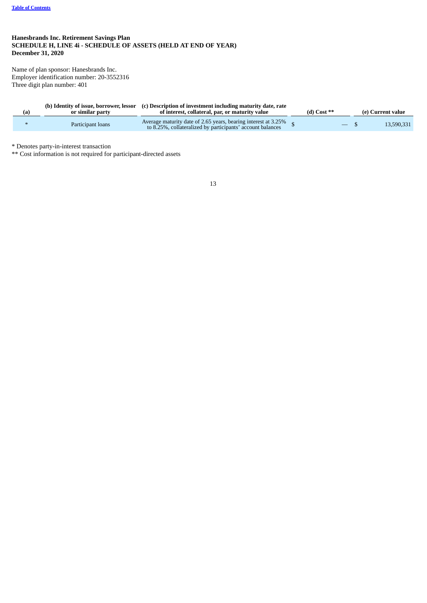# **Hanesbrands Inc. Retirement Savings Plan SCHEDULE H, LINE 4i - SCHEDULE OF ASSETS (HELD AT END OF YEAR) December 31, 2020**

Name of plan sponsor: Hanesbrands Inc. Employer identification number: 20-3552316 Three digit plan number: 401

| (a) | or similar party  | (b) Identity of issue, borrower, lessor (c) Description of investment including maturity date, rate<br>of interest, collateral, par, or maturity value | $(d)$ Cost $**$ | (e) Current value |
|-----|-------------------|--------------------------------------------------------------------------------------------------------------------------------------------------------|-----------------|-------------------|
|     | Participant loans | Average maturity date of 2.65 years, bearing interest at 3.25%<br>to 8.25%, collateralized by participants' account balances                           |                 | 13,590,331        |

\* Denotes party-in-interest transaction

\*\* Cost information is not required for participant-directed assets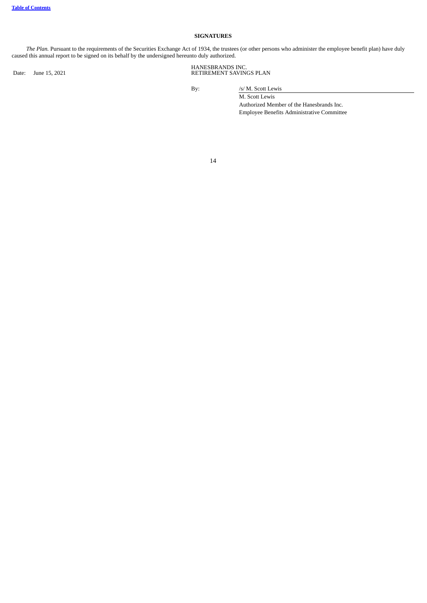### **SIGNATURES**

*The Plan.* Pursuant to the requirements of the Securities Exchange Act of 1934, the trustees (or other persons who administer the employee benefit plan) have duly caused this annual report to be signed on its behalf by the undersigned hereunto duly authorized.

Date: June 15, 2021

HANESBRANDS INC. RETIREMENT SAVINGS PLAN

By: /s/ M. Scott Lewis

M. Scott Lewis Authorized Member of the Hanesbrands Inc. Employee Benefits Administrative Committee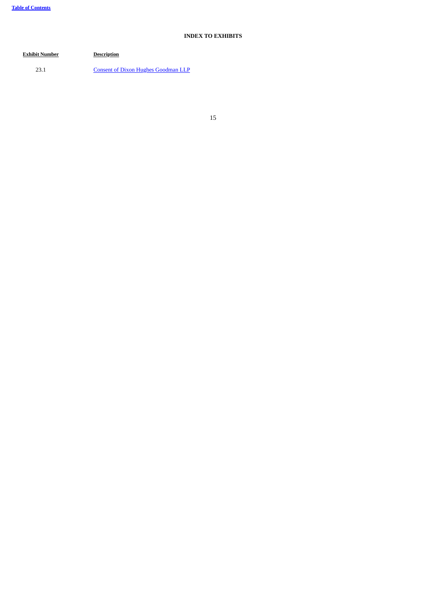# **INDEX TO EXHIBITS**

| Exhibit Number | <b>Description</b>                         |
|----------------|--------------------------------------------|
| 23.1           | <b>Consent of Dixon Hughes Goodman LLP</b> |